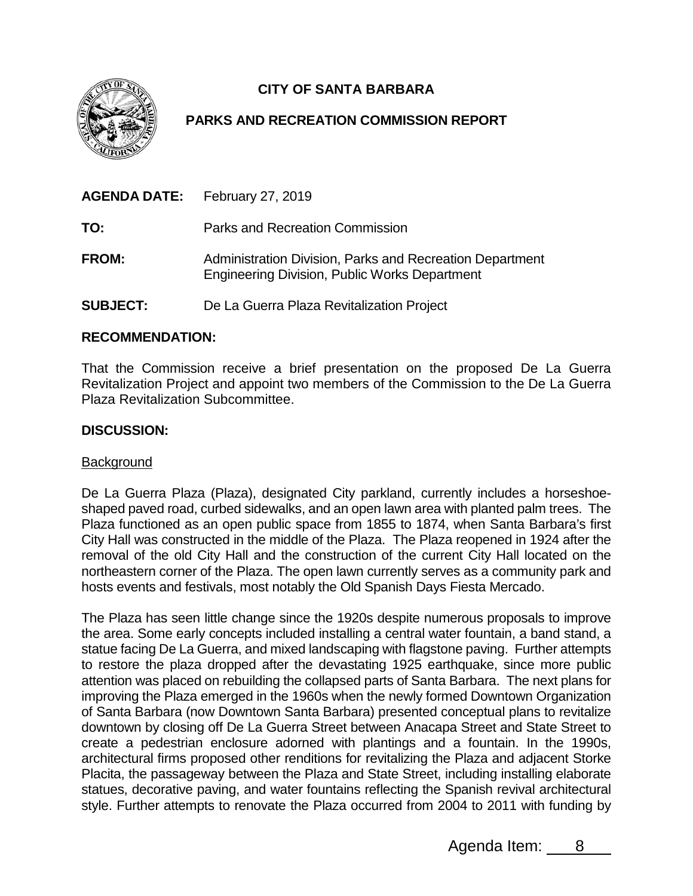

# **CITY OF SANTA BARBARA**

## **PARKS AND RECREATION COMMISSION REPORT**

|                 | <b>AGENDA DATE:</b> February 27, 2019                                                                            |
|-----------------|------------------------------------------------------------------------------------------------------------------|
| TO:             | Parks and Recreation Commission                                                                                  |
| <b>FROM:</b>    | Administration Division, Parks and Recreation Department<br><b>Engineering Division, Public Works Department</b> |
| <b>SUBJECT:</b> | De La Guerra Plaza Revitalization Project                                                                        |

### **RECOMMENDATION:**

That the Commission receive a brief presentation on the proposed De La Guerra Revitalization Project and appoint two members of the Commission to the De La Guerra Plaza Revitalization Subcommittee.

#### **DISCUSSION:**

#### **Background**

De La Guerra Plaza (Plaza), designated City parkland, currently includes a horseshoeshaped paved road, curbed sidewalks, and an open lawn area with planted palm trees. The Plaza functioned as an open public space from 1855 to 1874, when Santa Barbara's first City Hall was constructed in the middle of the Plaza. The Plaza reopened in 1924 after the removal of the old City Hall and the construction of the current City Hall located on the northeastern corner of the Plaza. The open lawn currently serves as a community park and hosts events and festivals, most notably the Old Spanish Days Fiesta Mercado.

The Plaza has seen little change since the 1920s despite numerous proposals to improve the area. Some early concepts included installing a central water fountain, a band stand, a statue facing De La Guerra, and mixed landscaping with flagstone paving. Further attempts to restore the plaza dropped after the devastating 1925 earthquake, since more public attention was placed on rebuilding the collapsed parts of Santa Barbara. The next plans for improving the Plaza emerged in the 1960s when the newly formed Downtown Organization of Santa Barbara (now Downtown Santa Barbara) presented conceptual plans to revitalize downtown by closing off De La Guerra Street between Anacapa Street and State Street to create a pedestrian enclosure adorned with plantings and a fountain. In the 1990s, architectural firms proposed other renditions for revitalizing the Plaza and adjacent Storke Placita, the passageway between the Plaza and State Street, including installing elaborate statues, decorative paving, and water fountains reflecting the Spanish revival architectural style. Further attempts to renovate the Plaza occurred from 2004 to 2011 with funding by

Agenda Item: 8